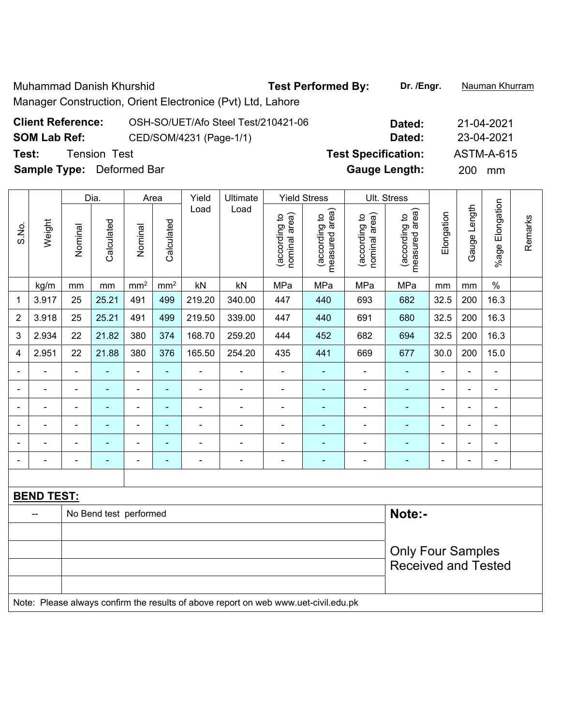Muhammad Danish Khurshid **Test Performed By: Dr. /Engr.** Nauman Khurram

Manager Construction, Orient Electronice (Pvt) Ltd, Lahore

# **Client Reference:** OSH-SO/UET/Afo Steel Test/210421-06 **Dated:** 21-04-2021

**SOM Lab Ref:** CED/SOM/4231 (Page-1/1) **Dated:** 23-04-2021

**Test:** Tension Test **Test Specification:** ASTM-A-615

**Sample Type:** Deformed Bar **Gauge Length:** 200 mm

|                |                   |                          | Dia.                   |                 | Area            | Yield                    | Ultimate                                                                            |                                | <b>Yield Stress</b>             |                                | Ult. Stress                     |                |                |                 |         |
|----------------|-------------------|--------------------------|------------------------|-----------------|-----------------|--------------------------|-------------------------------------------------------------------------------------|--------------------------------|---------------------------------|--------------------------------|---------------------------------|----------------|----------------|-----------------|---------|
| S.No.          | Weight            | Nominal                  | Calculated             | Nominal         | Calculated      | Load                     | Load                                                                                | (according to<br>nominal area) | measured area)<br>(according to | nominal area)<br>(according to | measured area)<br>(according to | Elongation     | Gauge Length   | %age Elongation | Remarks |
|                | kg/m              | mm                       | mm                     | mm <sup>2</sup> | mm <sup>2</sup> | kN                       | kN                                                                                  | MPa                            | MPa                             | MPa                            | MPa                             | mm             | mm             | $\frac{0}{0}$   |         |
| 1              | 3.917             | 25                       | 25.21                  | 491             | 499             | 219.20                   | 340.00                                                                              | 447                            | 440                             | 693                            | 682                             | 32.5           | 200            | 16.3            |         |
| $\overline{2}$ | 3.918             | 25                       | 25.21                  | 491             | 499             | 219.50                   | 339.00                                                                              | 447                            | 440                             | 691                            | 680                             | 32.5           | 200            | 16.3            |         |
| 3              | 2.934             | 22                       | 21.82                  | 380             | 374             | 168.70                   | 259.20                                                                              | 444                            | 452                             | 682                            | 694                             | 32.5           | 200            | 16.3            |         |
| 4              | 2.951             | 22                       | 21.88                  | 380             | 376             | 165.50                   | 254.20                                                                              | 435                            | 441                             | 669                            | 677                             | 30.0           | 200            | 15.0            |         |
| ÷,             | ÷                 | $\blacksquare$           | ä,                     | $\blacksquare$  | ÷,              | $\blacksquare$           | $\blacksquare$                                                                      | $\blacksquare$                 | $\blacksquare$                  | $\blacksquare$                 | $\blacksquare$                  | $\blacksquare$ | $\blacksquare$ | $\blacksquare$  |         |
|                |                   | ÷                        | ä,                     | $\blacksquare$  | $\blacksquare$  | ÷,                       | $\blacksquare$                                                                      | $\overline{\phantom{a}}$       | ÷                               | ÷                              | $\blacksquare$                  | ÷              | $\blacksquare$ | $\blacksquare$  |         |
|                | $\blacksquare$    | $\blacksquare$           | ÷,                     | ÷,              | Ξ               | $\overline{\phantom{a}}$ | $\blacksquare$                                                                      | $\blacksquare$                 | ÷                               | ÷                              | $\blacksquare$                  | $\blacksquare$ | $\blacksquare$ | $\blacksquare$  |         |
|                |                   |                          |                        | $\blacksquare$  | ۰               |                          |                                                                                     | Ē,                             |                                 |                                | $\blacksquare$                  |                |                | $\blacksquare$  |         |
|                |                   |                          |                        | ۰               | ۰               |                          |                                                                                     | $\blacksquare$                 |                                 |                                | $\blacksquare$                  |                |                | $\blacksquare$  |         |
| $\blacksquare$ |                   | $\blacksquare$           | $\blacksquare$         | $\blacksquare$  | ۰               | ÷                        | $\overline{a}$                                                                      | $\blacksquare$                 | ۰                               | ۰                              | $\blacksquare$                  | $\blacksquare$ | $\blacksquare$ | $\blacksquare$  |         |
|                |                   |                          |                        |                 |                 |                          |                                                                                     |                                |                                 |                                |                                 |                |                |                 |         |
|                | <b>BEND TEST:</b> |                          |                        |                 |                 |                          |                                                                                     |                                |                                 |                                |                                 |                |                |                 |         |
|                | $\sim$ $\sim$     |                          | No Bend test performed |                 |                 |                          |                                                                                     |                                |                                 |                                | Note:-                          |                |                |                 |         |
|                |                   |                          |                        |                 |                 |                          |                                                                                     |                                |                                 |                                |                                 |                |                |                 |         |
|                |                   | <b>Only Four Samples</b> |                        |                 |                 |                          |                                                                                     |                                |                                 |                                |                                 |                |                |                 |         |
|                |                   |                          |                        |                 |                 |                          |                                                                                     |                                |                                 |                                | <b>Received and Tested</b>      |                |                |                 |         |
|                |                   |                          |                        |                 |                 |                          |                                                                                     |                                |                                 |                                |                                 |                |                |                 |         |
|                |                   |                          |                        |                 |                 |                          | Note: Please always confirm the results of above report on web www.uet-civil.edu.pk |                                |                                 |                                |                                 |                |                |                 |         |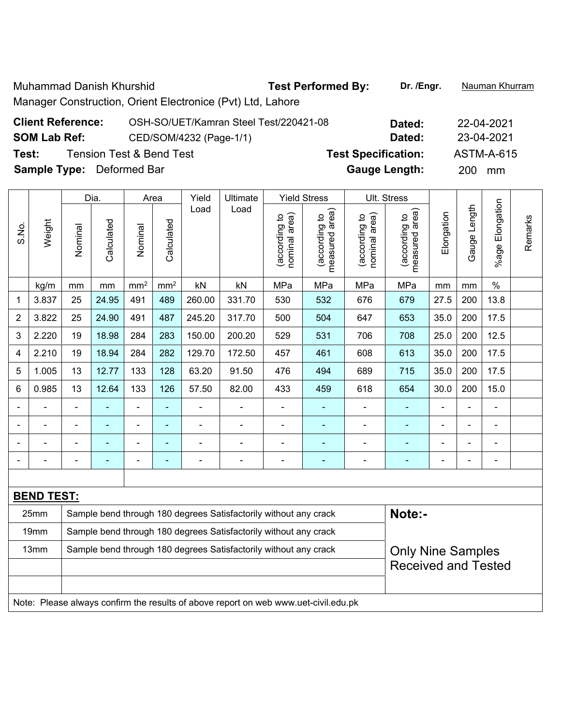Muhammad Danish Khurshid **Test Performed By: Dr. /Engr.** Nauman Khurram Manager Construction, Orient Electronice (Pvt) Ltd, Lahore

| <b>Client Reference:</b>         | OSH-SO/UET/Kamran Steel Test/220421-08 | Dated:                     | 22-04-2021        |
|----------------------------------|----------------------------------------|----------------------------|-------------------|
| <b>SOM Lab Ref:</b>              | CED/SOM/4232 (Page-1/1)                | Dated:                     | 23-04-2021        |
| Test:                            | <b>Tension Test &amp; Bend Test</b>    | <b>Test Specification:</b> | <b>ASTM-A-615</b> |
| <b>Sample Type:</b> Deformed Bar |                                        | <b>Gauge Length:</b>       | 200 mm            |

|                                                                          |                   |                | Dia.       |                 | Area            | Yield          | Ultimate                                                         |                                | <b>Yield Stress</b>             |                                | Ult. Stress                                 |            |                   |                       |         |
|--------------------------------------------------------------------------|-------------------|----------------|------------|-----------------|-----------------|----------------|------------------------------------------------------------------|--------------------------------|---------------------------------|--------------------------------|---------------------------------------------|------------|-------------------|-----------------------|---------|
| S.No.                                                                    | Weight            | Nominal        | Calculated | Nominal         | Calculated      | Load           | Load                                                             | nominal area)<br>(according to | measured area)<br>(according to | (according to<br>nominal area) | (according to<br>neasured area)<br>measured | Elongation | Length<br>Gauge I | Elongation<br>$%$ age | Remarks |
|                                                                          | kg/m              | mm             | mm         | mm <sup>2</sup> | mm <sup>2</sup> | kN             | kN                                                               | MPa                            | MPa                             | MPa                            | MPa                                         | mm         | mm                | $\frac{0}{0}$         |         |
| 1                                                                        | 3.837             | 25             | 24.95      | 491             | 489             | 260.00         | 331.70                                                           | 530                            | 532                             | 676                            | 679                                         | 27.5       | 200               | 13.8                  |         |
| $\overline{2}$                                                           | 3.822             | 25             | 24.90      | 491             | 487             | 245.20         | 317.70                                                           | 500                            | 504                             | 647                            | 653                                         | 35.0       | 200               | 17.5                  |         |
| 3                                                                        | 2.220             | 19             | 18.98      | 284             | 283             | 150.00         | 200.20                                                           | 529                            | 531                             | 706                            | 708                                         | 25.0       | 200               | 12.5                  |         |
| 4                                                                        | 2.210             | 19             | 18.94      | 284             | 282             | 129.70         | 172.50                                                           | 457                            | 461                             | 608                            | 613                                         | 35.0       | 200               | 17.5                  |         |
| 5                                                                        | 1.005             | 13             | 12.77      | 133             | 128             | 63.20          | 91.50                                                            | 476                            | 494                             | 689                            | 715                                         | 35.0       | 200               | 17.5                  |         |
| 6                                                                        | 0.985             | 13             | 12.64      | 133             | 126             | 57.50          | 82.00                                                            | 433                            | 459                             | 618                            | 654                                         | 30.0       | 200               | 15.0                  |         |
|                                                                          |                   | $\blacksquare$ |            | $\blacksquare$  | $\blacksquare$  |                |                                                                  | $\blacksquare$                 | $\blacksquare$                  |                                |                                             |            | Ē,                | $\blacksquare$        |         |
|                                                                          |                   |                | ۰          |                 |                 |                |                                                                  | $\blacksquare$                 |                                 |                                |                                             |            | $\blacksquare$    | ÷                     |         |
|                                                                          |                   |                |            | $\blacksquare$  | $\blacksquare$  |                |                                                                  |                                |                                 |                                |                                             |            | ä,                | $\blacksquare$        |         |
|                                                                          |                   |                |            |                 |                 | $\overline{a}$ |                                                                  | $\overline{a}$                 |                                 |                                | $\overline{\phantom{0}}$                    |            | -                 | Ē,                    |         |
|                                                                          |                   |                |            |                 |                 |                |                                                                  |                                |                                 |                                |                                             |            |                   |                       |         |
|                                                                          | <b>BEND TEST:</b> |                |            |                 |                 |                |                                                                  |                                |                                 |                                |                                             |            |                   |                       |         |
| 25mm<br>Sample bend through 180 degrees Satisfactorily without any crack |                   |                |            |                 |                 |                |                                                                  |                                | Note:-                          |                                |                                             |            |                   |                       |         |
|                                                                          | 19mm              |                |            |                 |                 |                | Sample bend through 180 degrees Satisfactorily without any crack |                                |                                 |                                |                                             |            |                   |                       |         |
|                                                                          | 13mm              |                |            |                 |                 |                | Sample bend through 180 degrees Satisfactorily without any crack |                                |                                 |                                | <b>Only Nine Samples</b>                    |            |                   |                       |         |
|                                                                          |                   |                |            |                 |                 |                |                                                                  |                                |                                 |                                | <b>Received and Tested</b>                  |            |                   |                       |         |

Note: Please always confirm the results of above report on web www.uet-civil.edu.pk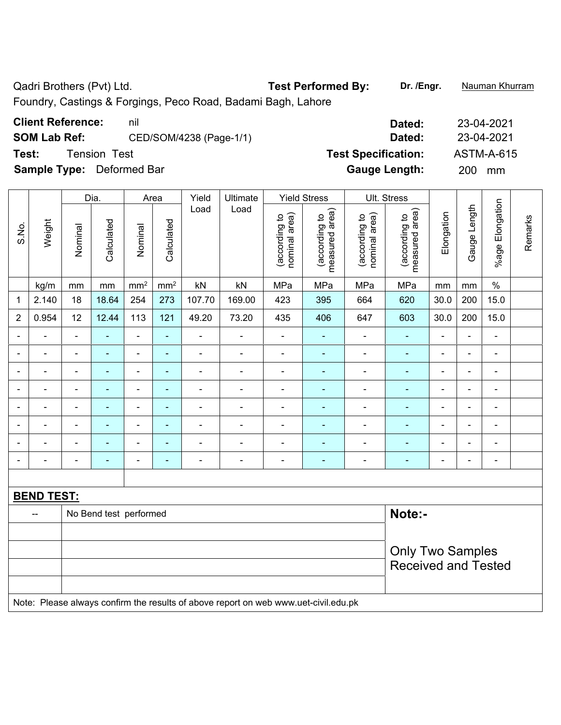Qadri Brothers (Pvt) Ltd. **Test Performed By:** Dr. /Engr. **Nauman Khurram** 

Foundry, Castings & Forgings, Peco Road, Badami Bagh, Lahore

**SOM Lab Ref:** CED/SOM/4238 (Page-1/1) **Dated:** 23-04-2021

**Sample Type:** Deformed Bar **Gauge Length:** 200 mm

|                          |                   |                | Dia.                     |                          | Area            | Yield                        | Ultimate                                                                            |                                | <b>Yield Stress</b>             |                                | Ult. Stress                     |                |                |                          |         |
|--------------------------|-------------------|----------------|--------------------------|--------------------------|-----------------|------------------------------|-------------------------------------------------------------------------------------|--------------------------------|---------------------------------|--------------------------------|---------------------------------|----------------|----------------|--------------------------|---------|
| S.No.                    | Weight            | Nominal        | Calculated               | Nominal                  | Calculated      | Load                         | Load                                                                                | nominal area)<br>(according to | (according to<br>measured area) | (according to<br>nominal area) | measured area)<br>(according to | Elongation     | Gauge Length   | %age Elongation          | Remarks |
|                          | kg/m              | mm             | mm                       | mm <sup>2</sup>          | mm <sup>2</sup> | kN                           | kN                                                                                  | MPa                            | MPa                             | MPa                            | MPa                             | mm             | mm             | $\%$                     |         |
| $\mathbf 1$              | 2.140             | 18             | 18.64                    | 254                      | 273             | 107.70                       | 169.00                                                                              | 423                            | 395                             | 664                            | 620                             | 30.0           | 200            | 15.0                     |         |
| $\overline{2}$           | 0.954             | 12             | 12.44                    | 113                      | $121$           | 49.20                        | 73.20                                                                               | 435                            | 406                             | 647                            | 603                             | 30.0           | 200            | 15.0                     |         |
|                          |                   |                |                          | ä,                       | $\blacksquare$  | ä,                           | Ē,                                                                                  | $\blacksquare$                 |                                 |                                | $\blacksquare$                  | $\blacksquare$ | L,             | ä,                       |         |
| $\overline{\phantom{0}}$ |                   | $\blacksquare$ | ÷                        | $\overline{\phantom{0}}$ | $\blacksquare$  | $\qquad \qquad \blacksquare$ | $\overline{\phantom{a}}$                                                            | $\blacksquare$                 | $\blacksquare$                  | $\overline{\phantom{a}}$       | $\blacksquare$                  | $\blacksquare$ | $\blacksquare$ | $\overline{\phantom{a}}$ |         |
| $\blacksquare$           | ۰                 | $\blacksquare$ | $\blacksquare$           | $\overline{\phantom{a}}$ | ٠               | $\blacksquare$               | $\overline{\phantom{a}}$                                                            | $\blacksquare$                 | $\blacksquare$                  | $\blacksquare$                 | ۰                               | $\blacksquare$ | $\blacksquare$ | $\blacksquare$           |         |
| $\blacksquare$           |                   | $\blacksquare$ | L,                       | ä,                       | ٠               | ä,                           | $\blacksquare$                                                                      | ÷,                             | $\blacksquare$                  | $\blacksquare$                 | $\blacksquare$                  | $\blacksquare$ | ä,             | $\blacksquare$           |         |
| $\blacksquare$           | $\blacksquare$    | $\blacksquare$ | ä,                       | $\overline{\phantom{0}}$ | $\blacksquare$  | ÷,                           | $\overline{\phantom{a}}$                                                            | $\blacksquare$                 | $\blacksquare$                  | $\overline{\phantom{a}}$       | $\blacksquare$                  | $\blacksquare$ | ä,             | ÷,                       |         |
|                          |                   | $\blacksquare$ | $\overline{\phantom{0}}$ | $\blacksquare$           | ٠               | L.                           |                                                                                     | $\blacksquare$                 | $\blacksquare$                  |                                | $\blacksquare$                  | -              | L,             | $\blacksquare$           |         |
|                          |                   |                | ÷                        | $\blacksquare$           | $\blacksquare$  | $\blacksquare$               |                                                                                     |                                |                                 |                                | $\blacksquare$                  |                | L,             | L,                       |         |
| $\blacksquare$           |                   | $\blacksquare$ | $\overline{\phantom{0}}$ | ۰                        | ۰               | ÷                            | ٠                                                                                   | ÷                              | $\overline{\phantom{a}}$        | ۰                              | $\overline{\phantom{0}}$        | ۰              | $\blacksquare$ | $\blacksquare$           |         |
|                          |                   |                |                          |                          |                 |                              |                                                                                     |                                |                                 |                                |                                 |                |                |                          |         |
|                          | <b>BEND TEST:</b> |                |                          |                          |                 |                              |                                                                                     |                                |                                 |                                |                                 |                |                |                          |         |
|                          | $\sim$ $\sim$     |                | No Bend test performed   |                          |                 |                              |                                                                                     |                                |                                 |                                | Note:-                          |                |                |                          |         |
|                          |                   |                |                          |                          |                 |                              |                                                                                     |                                |                                 |                                |                                 |                |                |                          |         |
|                          |                   |                |                          |                          |                 |                              |                                                                                     |                                |                                 |                                | <b>Only Two Samples</b>         |                |                |                          |         |
|                          |                   |                |                          |                          |                 |                              |                                                                                     |                                |                                 |                                | <b>Received and Tested</b>      |                |                |                          |         |
|                          |                   |                |                          |                          |                 |                              |                                                                                     |                                |                                 |                                |                                 |                |                |                          |         |
|                          |                   |                |                          |                          |                 |                              | Note: Please always confirm the results of above report on web www.uet-civil.edu.pk |                                |                                 |                                |                                 |                |                |                          |         |

**Client Reference:** nil **Dated:** 23-04-2021 **Test:** Tension Test **Test Specification:** ASTM-A-615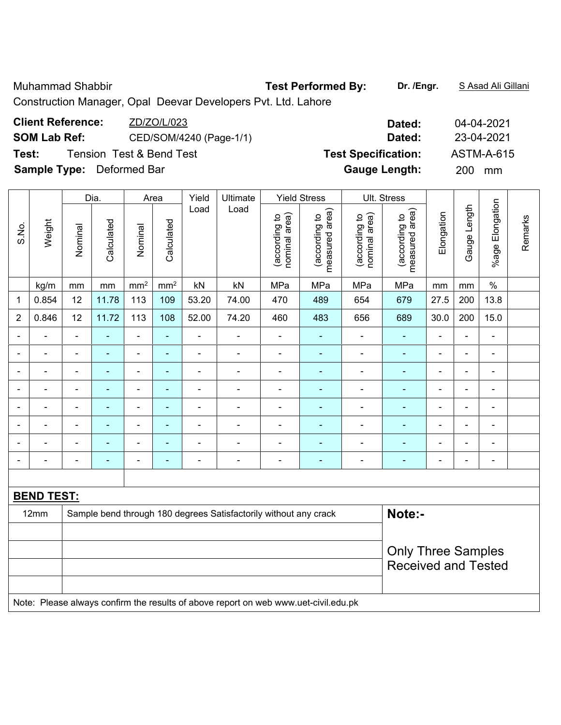Muhammad Shabbir **Test Performed By: Dr. /Engr.** S Asad Ali Gillani

Received and Tested

Construction Manager, Opal Deevar Developers Pvt. Ltd. Lahore

| <b>Dated:</b>              | 04-04-2021        |  |  |
|----------------------------|-------------------|--|--|
| Dated:                     | 23-04-2021        |  |  |
| <b>Test Specification:</b> | <b>ASTM-A-615</b> |  |  |
| <b>Gauge Length:</b>       | <b>200</b><br>mm  |  |  |
|                            |                   |  |  |

|                   |                |                | Dia.           |                              | Area            | Yield          | Ultimate                                                         |                                | <b>Yield Stress</b>             |                                | Ult. Stress                        |                          |                |                       |         |
|-------------------|----------------|----------------|----------------|------------------------------|-----------------|----------------|------------------------------------------------------------------|--------------------------------|---------------------------------|--------------------------------|------------------------------------|--------------------------|----------------|-----------------------|---------|
| S.No.             | Weight         | Nominal        | Calculated     | Nominal                      | Calculated      | Load           | Load                                                             | (according to<br>nominal area) | measured area)<br>(according to | (according to<br>nominal area) | area)<br>(according to<br>measured | Elongation               | Gauge Length   | Elongation<br>$%$ age | Remarks |
|                   | kg/m           | mm             | mm             | mm <sup>2</sup>              | mm <sup>2</sup> | kN             | kN                                                               | MPa                            | MPa                             | MPa                            | MPa                                | mm                       | mm             | $\frac{0}{0}$         |         |
| 1                 | 0.854          | 12             | 11.78          | 113                          | 109             | 53.20          | 74.00                                                            | 470                            | 489                             | 654                            | 679                                | 27.5                     | 200            | 13.8                  |         |
| $\overline{2}$    | 0.846          | 12             | 11.72          | 113                          | 108             | 52.00          | 74.20                                                            | 460                            | 483                             | 656                            | 689                                | 30.0                     | 200            | 15.0                  |         |
|                   |                |                |                | -                            | ۰               |                | $\blacksquare$                                                   |                                |                                 |                                |                                    |                          | ä,             | $\blacksquare$        |         |
|                   | $\blacksquare$ | $\blacksquare$ | $\blacksquare$ | $\overline{\phantom{a}}$     | ۰               | $\blacksquare$ | $\blacksquare$                                                   | $\blacksquare$                 |                                 | $\blacksquare$                 | $\blacksquare$                     | $\blacksquare$           | $\blacksquare$ | ۰                     |         |
| $\blacksquare$    | ۰              | $\blacksquare$ | $\blacksquare$ | $\qquad \qquad \blacksquare$ | ۰               | $\blacksquare$ | $\blacksquare$                                                   | $\overline{\phantom{0}}$       |                                 |                                | $\blacksquare$                     | $\blacksquare$           | $\blacksquare$ | ۰                     |         |
| $\blacksquare$    | $\blacksquare$ | $\blacksquare$ | $\blacksquare$ | $\qquad \qquad \blacksquare$ | ۰               | $\blacksquare$ | $\overline{a}$                                                   |                                |                                 |                                |                                    | $\overline{\phantom{0}}$ | $\overline{a}$ | ۰                     |         |
|                   |                |                |                | ۰                            |                 |                |                                                                  |                                |                                 |                                | $\blacksquare$                     |                          | $\blacksquare$ | $\blacksquare$        |         |
|                   |                |                |                | $\blacksquare$               |                 |                |                                                                  |                                |                                 |                                |                                    |                          | $\blacksquare$ | ۰                     |         |
|                   |                |                |                | -                            |                 |                |                                                                  |                                |                                 |                                |                                    |                          | ۰              |                       |         |
|                   |                |                | $\blacksquare$ | $\blacksquare$               | ۰               | $\blacksquare$ | $\overline{\phantom{a}}$                                         | $\overline{\phantom{0}}$       | ۰                               | $\blacksquare$                 | ۰                                  | $\blacksquare$           | $\blacksquare$ | ÷                     |         |
|                   |                |                |                |                              |                 |                |                                                                  |                                |                                 |                                |                                    |                          |                |                       |         |
| <b>BEND TEST:</b> |                |                |                |                              |                 |                |                                                                  |                                |                                 |                                |                                    |                          |                |                       |         |
|                   | 12mm           |                |                |                              |                 |                | Sample bend through 180 degrees Satisfactorily without any crack |                                |                                 |                                | Note:-                             |                          |                |                       |         |
|                   |                |                |                |                              |                 |                |                                                                  |                                |                                 |                                | <b>Only Three Samples</b>          |                          |                |                       |         |

Note: Please always confirm the results of above report on web www.uet-civil.edu.pk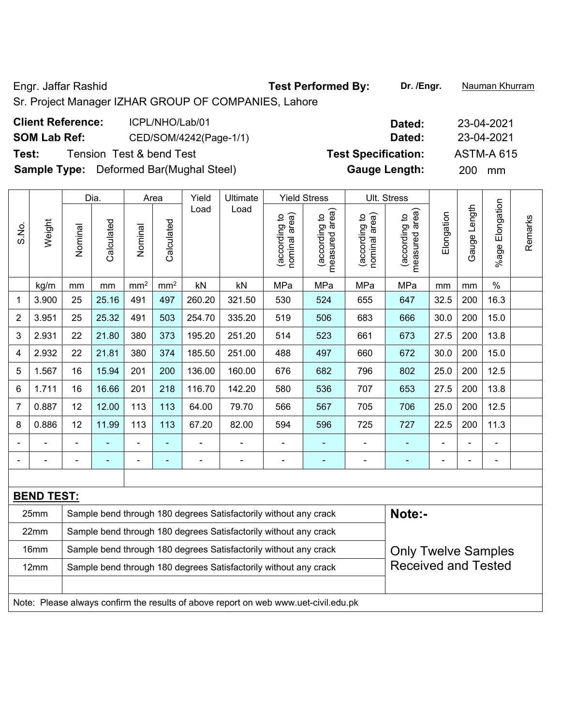Engr. Jaffar Rashid **Test Performed By:** Dr. /Engr. **Nauman Khurram** 

Sr. Project Manager IZHAR GROUP OF COMPANIES, Lahore

| <b>Client Reference:</b> | ICPL/NHO/Lab/01                                | Dated:                     | 23-04-2021        |
|--------------------------|------------------------------------------------|----------------------------|-------------------|
| <b>SOM Lab Ref:</b>      | CED/SOM/4242(Page-1/1)                         | Dated:                     | 23-04-2021        |
| Test:                    | Tension Test & bend Test                       | <b>Test Specification:</b> | <b>ASTM-A 615</b> |
|                          | <b>Sample Type:</b> Deformed Bar(Mughal Steel) | <b>Gauge Length:</b>       | <b>200</b><br>mm  |

| Gauge          | $%$ age        | Remarks    |  |
|----------------|----------------|------------|--|
| mm             | $\frac{0}{0}$  |            |  |
| 200            | 16.3           |            |  |
| 200            | 15.0           |            |  |
| 200            | 13.8           |            |  |
| 200            | 15.0           |            |  |
| 200            | 12.5           |            |  |
| 200            | 13.8           |            |  |
| 200            | 12.5           |            |  |
| 200            | 11.3           |            |  |
|                |                |            |  |
| $\blacksquare$ | $\blacksquare$ |            |  |
|                |                |            |  |
|                |                |            |  |
| Note:-         |                |            |  |
|                | Length         | Elongation |  |

|                                                                                     |                                                                  | .                          |  |  |  |  |  |  |
|-------------------------------------------------------------------------------------|------------------------------------------------------------------|----------------------------|--|--|--|--|--|--|
| 22mm                                                                                | Sample bend through 180 degrees Satisfactorily without any crack |                            |  |  |  |  |  |  |
| 16 <sub>mm</sub>                                                                    | Sample bend through 180 degrees Satisfactorily without any crack | <b>Only Twelve Samples</b> |  |  |  |  |  |  |
| 12mm                                                                                | Sample bend through 180 degrees Satisfactorily without any crack | <b>Received and Tested</b> |  |  |  |  |  |  |
|                                                                                     |                                                                  |                            |  |  |  |  |  |  |
| Note: Please always confirm the results of above report on web www.uet-civil.edu.pk |                                                                  |                            |  |  |  |  |  |  |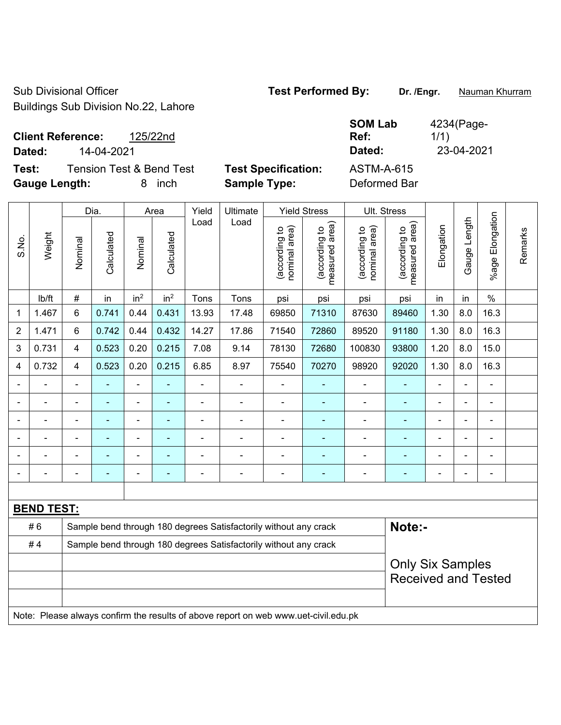Sub Divisional Officer **Test Performed By:** Dr. /Engr. **Nauman Khurram** Buildings Sub Division No.22, Lahore

| <b>Client Reference:</b><br>125/22nd<br>14-04-2021<br>Dated: |                            | <b>SOM Lab</b><br>Ref:<br>Dated: | 4234(Page-<br>1/1)<br>23-04-2021 |  |
|--------------------------------------------------------------|----------------------------|----------------------------------|----------------------------------|--|
| <b>Tension Test &amp; Bend Test</b><br>Test:                 | <b>Test Specification:</b> | <b>ASTM-A-615</b>                |                                  |  |
| <b>Gauge Length:</b><br>inch                                 | <b>Sample Type:</b>        | Deformed Bar                     |                                  |  |

|                |                   |                                                                  | Dia.                     |                              | Area            |                | Yield<br>Ultimate                                                                   | <b>Yield Stress</b>           |                                 | Ult. Stress                    |                                 |                |                |                          |         |
|----------------|-------------------|------------------------------------------------------------------|--------------------------|------------------------------|-----------------|----------------|-------------------------------------------------------------------------------------|-------------------------------|---------------------------------|--------------------------------|---------------------------------|----------------|----------------|--------------------------|---------|
| S.No.          | Weight            | Nominal                                                          | Calculated               | Nominal                      | Calculated      | Load           | Load                                                                                | nominal area)<br>according to | measured area)<br>(according to | nominal area)<br>(according to | measured area)<br>(according to | Elongation     | Gauge Length   | Elongation<br>%age       | Remarks |
|                | Ib/ft             | $\#$                                                             | in                       | in <sup>2</sup>              | in <sup>2</sup> | Tons           | Tons                                                                                | psi                           | psi                             | psi                            | psi                             | in             | in             | $\frac{0}{0}$            |         |
| 1              | 1.467             | 6                                                                | 0.741                    | 0.44                         | 0.431           | 13.93          | 17.48                                                                               | 69850                         | 71310                           | 87630                          | 89460                           | 1.30           | 8.0            | 16.3                     |         |
| $\overline{2}$ | 1.471             | $6\phantom{1}$                                                   | 0.742                    | 0.44                         | 0.432           | 14.27          | 17.86                                                                               | 71540                         | 72860                           | 89520                          | 91180                           | 1.30           | 8.0            | 16.3                     |         |
| 3              | 0.731             | $\overline{4}$                                                   | 0.523                    | 0.20                         | 0.215           | 7.08           | 9.14                                                                                | 78130                         | 72680                           | 100830                         | 93800                           | 1.20           | 8.0            | 15.0                     |         |
| 4              | 0.732             | 4                                                                | 0.523                    | 0.20                         | 0.215           | 6.85           | 8.97                                                                                | 75540                         | 70270                           | 98920                          | 92020                           | 1.30           | 8.0            | 16.3                     |         |
|                |                   |                                                                  |                          |                              |                 |                |                                                                                     |                               |                                 | -                              |                                 |                |                |                          |         |
|                |                   |                                                                  | $\overline{\phantom{0}}$ | ۰                            | ۰               | $\overline{a}$ | $\blacksquare$                                                                      | $\blacksquare$                | $\overline{\phantom{a}}$        | $\overline{a}$                 | ۰                               | $\blacksquare$ | $\blacksquare$ | $\overline{\phantom{0}}$ |         |
|                |                   |                                                                  | $\blacksquare$           | ÷,                           | ۰               | ä,             | $\blacksquare$                                                                      | $\blacksquare$                | $\blacksquare$                  | ä,                             | $\blacksquare$                  | ÷              |                | $\blacksquare$           |         |
|                |                   |                                                                  | Ē,                       | $\qquad \qquad \blacksquare$ |                 | L,             | $\blacksquare$                                                                      |                               |                                 | $\blacksquare$                 | ÷                               | ä,             |                | $\blacksquare$           |         |
|                |                   |                                                                  | $\blacksquare$           | ÷,                           | ÷               | $\blacksquare$ | ÷,                                                                                  | Ē,                            | $\overline{\phantom{a}}$        | $\blacksquare$                 | ÷,                              | ä,             |                | $\blacksquare$           |         |
|                |                   |                                                                  |                          | ÷                            | $\blacksquare$  |                | $\blacksquare$                                                                      |                               | $\overline{\phantom{a}}$        | ä,                             | ۰                               | $\blacksquare$ |                | $\blacksquare$           |         |
|                |                   |                                                                  |                          |                              |                 |                |                                                                                     |                               |                                 |                                |                                 |                |                |                          |         |
|                | <b>BEND TEST:</b> |                                                                  |                          |                              |                 |                |                                                                                     |                               |                                 |                                |                                 |                |                |                          |         |
|                | #6                |                                                                  |                          |                              |                 |                | Sample bend through 180 degrees Satisfactorily without any crack                    |                               |                                 |                                | Note:-                          |                |                |                          |         |
|                | #4                | Sample bend through 180 degrees Satisfactorily without any crack |                          |                              |                 |                |                                                                                     |                               |                                 |                                |                                 |                |                |                          |         |
|                |                   |                                                                  |                          |                              |                 |                |                                                                                     |                               |                                 |                                | <b>Only Six Samples</b>         |                |                |                          |         |
|                |                   |                                                                  |                          |                              |                 |                |                                                                                     |                               |                                 |                                | <b>Received and Tested</b>      |                |                |                          |         |
|                |                   |                                                                  |                          |                              |                 |                |                                                                                     |                               |                                 |                                |                                 |                |                |                          |         |
|                |                   |                                                                  |                          |                              |                 |                | Note: Please always confirm the results of above report on web www.uet-civil.edu.pk |                               |                                 |                                |                                 |                |                |                          |         |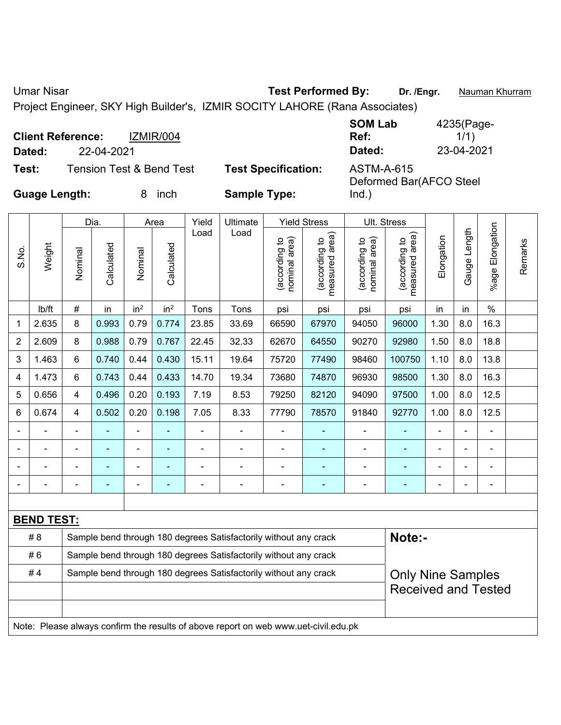Umar Nisar **Test Performed By:** Dr. /Engr. **Nauman Khurram** 

Project Engineer, SKY High Builder's, IZMIR SOCITY LAHORE (Rana Associates)

|               | <b>Client Reference:</b> | IZMIR/004                           |                            | <b>SOM Lab</b><br>Ref:                | 4235(Page-<br>1/1) |
|---------------|--------------------------|-------------------------------------|----------------------------|---------------------------------------|--------------------|
| Dated:        | 22-04-2021               |                                     |                            | Dated:                                | 23-04-2021         |
| Test:         |                          | <b>Tension Test &amp; Bend Test</b> | <b>Test Specification:</b> | ASTM-A-615<br>Deformed Bar(AFCO Steel |                    |
| Guage Length: |                          | 8 inch                              | <b>Sample Type:</b>        | $Ind$ )                               |                    |

|                          | ๛๛๚๛ ๛๛๚๚๛        |                |            |                 |                 |       | oanipio i jpo.                                                   |                                   |                                 |                                |                                 |                            |              |                 |         |  |  |
|--------------------------|-------------------|----------------|------------|-----------------|-----------------|-------|------------------------------------------------------------------|-----------------------------------|---------------------------------|--------------------------------|---------------------------------|----------------------------|--------------|-----------------|---------|--|--|
|                          |                   |                | Dia.       |                 | Area            | Yield | Ultimate                                                         |                                   | <b>Yield Stress</b>             |                                | Ult. Stress                     |                            |              |                 |         |  |  |
| S.No.                    | Weight            | Nominal        | Calculated | Nominal         | Calculated      | Load  | Load                                                             | area)<br>of puiploocal<br>nominal | (according to<br>measured area) | nominal area)<br>(according to | (according to<br>measured area) | Elongation                 | Gauge Length | %age Elongation | Remarks |  |  |
|                          | lb/ft             | $\#$           | in         | in <sup>2</sup> | in <sup>2</sup> | Tons  | Tons                                                             | psi                               | psi                             | psi                            | psi                             | in                         | in           | $\%$            |         |  |  |
| $\mathbf 1$              | 2.635             | 8              | 0.993      | 0.79            | 0.774           | 23.85 | 33.69                                                            | 66590                             | 67970                           | 94050                          | 96000                           | 1.30                       | 8.0          | 16.3            |         |  |  |
| $\overline{2}$           | 2.609             | 8              | 0.988      | 0.79            | 0.767           | 22.45 | 32.33                                                            | 62670                             | 64550                           | 90270                          | 92980                           | 1.50                       | 8.0          | 18.8            |         |  |  |
| 3                        | 1.463             | $6\phantom{1}$ | 0.740      | 0.44            | 0.430           | 15.11 | 19.64                                                            | 75720                             | 77490                           | 98460                          | 100750                          | 1.10                       | 8.0          | 13.8            |         |  |  |
| $\overline{\mathbf{4}}$  | 1.473             | $6\phantom{1}$ | 0.743      | 0.44            | 0.433           | 14.70 | 19.34                                                            | 73680                             | 74870                           | 96930                          | 98500                           | 1.30                       | 8.0          | 16.3            |         |  |  |
| 5                        | 0.656             | $\overline{4}$ | 0.496      | 0.20            | 0.193           | 7.19  | 8.53                                                             | 79250                             | 82120                           | 94090                          | 97500                           | 1.00                       | 8.0          | 12.5            |         |  |  |
| $\,6$                    | 0.674             | $\overline{4}$ | 0.502      | 0.20            | 0.198           | 7.05  | 8.33                                                             | 77790                             | 78570                           | 91840                          | 92770                           | 1.00                       | 8.0          | 12.5            |         |  |  |
|                          |                   |                |            |                 |                 |       |                                                                  |                                   |                                 |                                |                                 |                            |              |                 |         |  |  |
| $\blacksquare$           |                   |                |            | $\overline{a}$  |                 |       | $\blacksquare$                                                   | ٠                                 |                                 | $\overline{\phantom{0}}$       | ۰                               | ۰                          |              |                 |         |  |  |
| $\overline{\phantom{a}}$ |                   | Ē,             | ٠          | ÷               | $\blacksquare$  | ä,    | ÷                                                                | Ē,                                | ۰                               | $\blacksquare$                 | ä,                              | $\blacksquare$             |              | $\overline{a}$  |         |  |  |
|                          |                   |                |            |                 |                 |       |                                                                  |                                   |                                 |                                | ۰                               |                            |              |                 |         |  |  |
|                          |                   |                |            |                 |                 |       |                                                                  |                                   |                                 |                                |                                 |                            |              |                 |         |  |  |
|                          | <b>BEND TEST:</b> |                |            |                 |                 |       |                                                                  |                                   |                                 |                                |                                 |                            |              |                 |         |  |  |
|                          | # 8               |                |            |                 |                 |       | Sample bend through 180 degrees Satisfactorily without any crack |                                   |                                 |                                | Note:-                          |                            |              |                 |         |  |  |
|                          | #6                |                |            |                 |                 |       | Sample bend through 180 degrees Satisfactorily without any crack |                                   |                                 |                                |                                 |                            |              |                 |         |  |  |
|                          | #4                |                |            |                 |                 |       | Sample bend through 180 degrees Satisfactorily without any crack |                                   |                                 |                                | <b>Only Nine Samples</b>        |                            |              |                 |         |  |  |
|                          |                   |                |            |                 |                 |       |                                                                  |                                   |                                 |                                |                                 | <b>Received and Tested</b> |              |                 |         |  |  |

Note: Please always confirm the results of above report on web www.uet-civil.edu.pk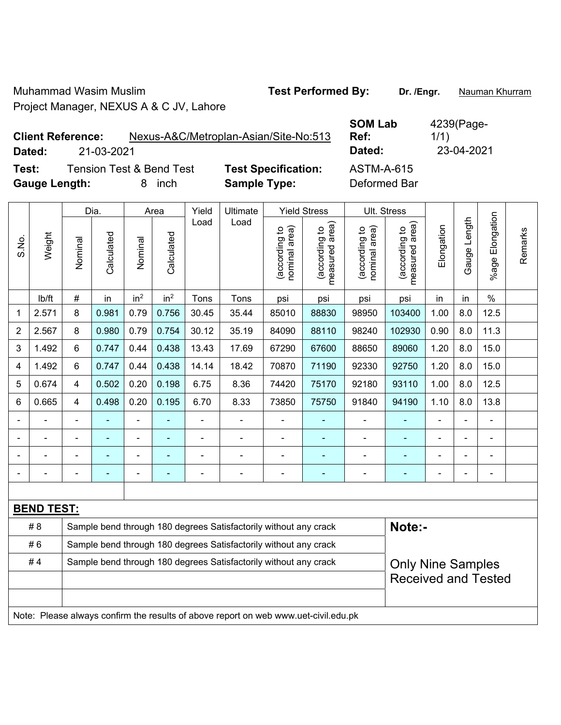Muhammad Wasim Muslim **Test Performed By: Dr. /Engr.** Nauman Khurram Project Manager, NEXUS A & C JV, Lahore

| <b>SOM Lab</b> | 4239 |
|----------------|------|
| Ref:           | 1/1) |

9(Page-

**Client Reference:** Nexus-A&C/Metroplan-Asian/Site-No:513 **Dated:** 21-03-2021 **Dated:** 23-04-2021 **Test:** Tension Test & Bend Test **Test Specification:** ASTM-A-615

**Gauge Length:** 8 inch **Sample Type:** Deformed Bar

|       | Weight            |                | Dia.       | Area            |                 | Yield                                                            | Ultimate                                                                            |                                | <b>Yield Stress</b>             |                                | Ult. Stress                     |            |              |                       |         |
|-------|-------------------|----------------|------------|-----------------|-----------------|------------------------------------------------------------------|-------------------------------------------------------------------------------------|--------------------------------|---------------------------------|--------------------------------|---------------------------------|------------|--------------|-----------------------|---------|
| S.No. |                   | Nominal        | Calculated | Nominal         | Calculated      | Load                                                             | Load                                                                                | nominal area)<br>(according to | (according to<br>measured area) | nominal area)<br>(according to | (according to<br>measured area) | Elongation | Gauge Length | Elongation<br>$%$ age | Remarks |
|       | lb/ft             | $\#$           | in         | in <sup>2</sup> | in <sup>2</sup> | Tons                                                             | Tons                                                                                | psi                            | psi                             | psi                            | psi                             | in         | in           | $\frac{0}{0}$         |         |
| 1     | 2.571             | 8              | 0.981      | 0.79            | 0.756           | 30.45                                                            | 35.44                                                                               | 85010                          | 88830                           | 98950                          | 103400                          | 1.00       | 8.0          | 12.5                  |         |
| 2     | 2.567             | 8              | 0.980      | 0.79            | 0.754           | 30.12                                                            | 35.19                                                                               | 84090                          | 88110                           | 98240                          | 102930                          | 0.90       | 8.0          | 11.3                  |         |
| 3     | 1.492             | 6              | 0.747      | 0.44            | 0.438           | 13.43                                                            | 17.69                                                                               | 67290                          | 67600                           | 88650                          | 89060                           | 1.20       | 8.0          | 15.0                  |         |
| 4     | 1.492             | 6              | 0.747      | 0.44            | 0.438           | 14.14                                                            | 18.42                                                                               | 70870                          | 71190                           | 92330                          | 92750                           | 1.20       | 8.0          | 15.0                  |         |
| 5     | 0.674             | 4              | 0.502      | 0.20            | 0.198           | 6.75                                                             | 8.36                                                                                | 74420                          | 75170                           | 92180                          | 93110                           | 1.00       | 8.0          | 12.5                  |         |
| 6     | 0.665             | 4              | 0.498      | 0.20            | 0.195           | 6.70                                                             | 8.33                                                                                | 73850                          | 75750                           | 91840                          | 94190                           | 1.10       | 8.0          | 13.8                  |         |
|       |                   | L,             |            | ÷,              | ÷               | $\overline{a}$                                                   |                                                                                     | $\blacksquare$                 | ٠                               | $\blacksquare$                 | ÷                               | ä,         |              | ÷                     |         |
|       |                   | ä,             |            | $\blacksquare$  | $\blacksquare$  | ä,                                                               |                                                                                     | $\blacksquare$                 | $\blacksquare$                  | $\blacksquare$                 | ÷                               | ÷          |              | ä,                    |         |
|       |                   | $\blacksquare$ |            | ÷               | ۰               |                                                                  | $\blacksquare$                                                                      | $\blacksquare$                 | $\blacksquare$                  | ÷                              | $\blacksquare$                  | ÷          |              | ä,                    |         |
|       |                   |                |            |                 |                 |                                                                  |                                                                                     |                                |                                 |                                |                                 |            |              |                       |         |
|       |                   |                |            |                 |                 |                                                                  |                                                                                     |                                |                                 |                                |                                 |            |              |                       |         |
|       | <b>BEND TEST:</b> |                |            |                 |                 |                                                                  |                                                                                     |                                |                                 |                                |                                 |            |              |                       |         |
|       | # 8               |                |            |                 |                 |                                                                  | Sample bend through 180 degrees Satisfactorily without any crack                    |                                |                                 |                                | Note:-                          |            |              |                       |         |
|       | #6                |                |            |                 |                 |                                                                  | Sample bend through 180 degrees Satisfactorily without any crack                    |                                |                                 |                                |                                 |            |              |                       |         |
|       | #4                |                |            |                 |                 | Sample bend through 180 degrees Satisfactorily without any crack |                                                                                     | <b>Only Nine Samples</b>       |                                 |                                |                                 |            |              |                       |         |
|       |                   |                |            |                 |                 |                                                                  |                                                                                     |                                |                                 |                                | <b>Received and Tested</b>      |            |              |                       |         |
|       |                   |                |            |                 |                 |                                                                  |                                                                                     |                                |                                 |                                |                                 |            |              |                       |         |
|       |                   |                |            |                 |                 |                                                                  | Note: Please always confirm the results of above report on web www.uet-civil.edu.pk |                                |                                 |                                |                                 |            |              |                       |         |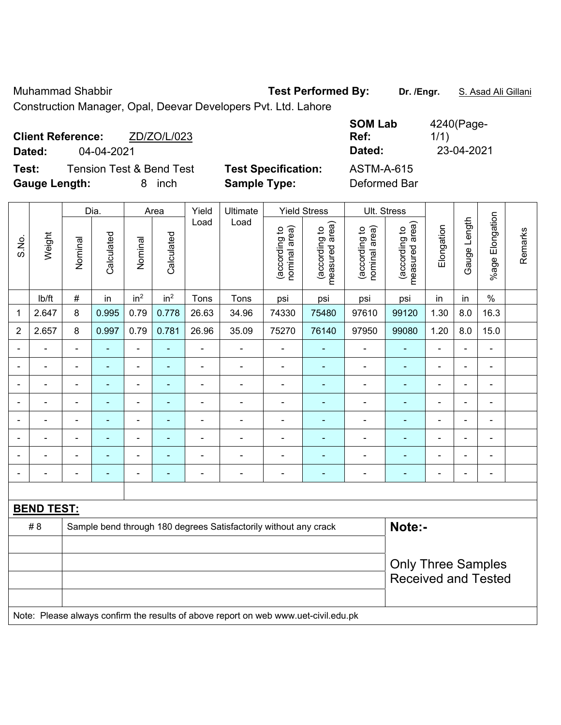Muhammad Shabbir **Test Performed By:** Dr. /Engr. **S. Asad Ali Gillani** 

Construction Manager, Opal, Deevar Developers Pvt. Ltd. Lahore

| <b>Client Reference:</b> | ZD/ZO/L/023                         |                            | <b>SOM Lab</b><br>Ref:<br>Dated: | 4240(Page-<br>1/1)<br>23-04-2021 |
|--------------------------|-------------------------------------|----------------------------|----------------------------------|----------------------------------|
| 04-04-2021<br>Dated:     |                                     |                            |                                  |                                  |
| Test:                    | <b>Tension Test &amp; Bend Test</b> | <b>Test Specification:</b> | <b>ASTM-A-615</b>                |                                  |
| <b>Gauge Length:</b>     | <i>i</i> nch<br>8.                  | <b>Sample Type:</b>        | Deformed Bar                     |                                  |

|                |                   | Dia.           |                | Area                         |                           | Yield          | Ultimate                                                                            |                                | <b>Yield Stress</b>             |                                | Ult. Stress                     |                |                |                              |         |
|----------------|-------------------|----------------|----------------|------------------------------|---------------------------|----------------|-------------------------------------------------------------------------------------|--------------------------------|---------------------------------|--------------------------------|---------------------------------|----------------|----------------|------------------------------|---------|
| S.No.          | Weight            | Nominal        | Calculated     | Nominal                      | Calculated                | Load           | Load                                                                                | (according to<br>nominal area) | (according to<br>measured area) | nominal area)<br>(according to | measured area)<br>(according to | Elongation     | Gauge Length   | %age Elongation              | Remarks |
|                | lb/ft             | $\#$           | in             | in <sup>2</sup>              | in <sup>2</sup>           | Tons           | Tons                                                                                | psi                            | psi                             | psi                            | psi                             | in             | in             | $\%$                         |         |
| 1              | 2.647             | 8              | 0.995          | 0.79                         | 0.778                     | 26.63          | 34.96                                                                               | 74330                          | 75480                           | 97610                          | 99120                           | 1.30           | 8.0            | 16.3                         |         |
| $\overline{2}$ | 2.657             | 8              | 0.997          | 0.79                         | 0.781                     | 26.96          | 35.09                                                                               | 75270                          | 76140                           | 97950                          | 99080                           | 1.20           | 8.0            | 15.0                         |         |
|                | L,                |                |                | $\blacksquare$               |                           | $\overline{a}$ | ÷,                                                                                  |                                |                                 | ÷                              |                                 |                |                | $\blacksquare$               |         |
| $\blacksquare$ | $\blacksquare$    | $\blacksquare$ | ä,             | $\blacksquare$               | $\blacksquare$            | -              | ÷                                                                                   | $\overline{\phantom{a}}$       | $\overline{\phantom{a}}$        | ÷                              | $\blacksquare$                  | Ē,             | $\blacksquare$ | $\overline{\phantom{a}}$     |         |
|                | $\blacksquare$    | $\blacksquare$ | ۰              | $\qquad \qquad \blacksquare$ | ٠                         | $\blacksquare$ | ÷,                                                                                  | $\blacksquare$                 | $\overline{\phantom{a}}$        | $\qquad \qquad \blacksquare$   | $\blacksquare$                  | $\blacksquare$ | $\blacksquare$ | $\overline{\phantom{a}}$     |         |
|                | ÷                 | $\blacksquare$ | ÷              | $\blacksquare$               | $\blacksquare$            | ä,             | ä,                                                                                  | Ē,                             | $\overline{\phantom{a}}$        | ÷                              | $\blacksquare$                  | Ē,             | $\blacksquare$ | $\blacksquare$               |         |
| Ē,             | ä,                | $\blacksquare$ | ÷,             | $\frac{1}{2}$                | $\blacksquare$            | $\blacksquare$ | ÷,                                                                                  | $\blacksquare$                 | $\blacksquare$                  | $\blacksquare$                 | $\blacksquare$                  | ä,             | $\blacksquare$ | ÷,                           |         |
|                |                   |                | $\blacksquare$ | ۳                            |                           | $\blacksquare$ |                                                                                     |                                |                                 | $\blacksquare$                 | $\blacksquare$                  |                |                | ۰                            |         |
|                |                   |                |                | $\blacksquare$               |                           | $\blacksquare$ | $\blacksquare$                                                                      | $\blacksquare$                 |                                 | $\blacksquare$                 |                                 |                |                | L.                           |         |
| $\blacksquare$ | ÷                 | $\blacksquare$ | ä,             | $\blacksquare$               | $\blacksquare$            | -              | ÷                                                                                   | $\overline{\phantom{a}}$       | $\overline{\phantom{a}}$        | ÷                              | $\blacksquare$                  | $\blacksquare$ | $\blacksquare$ | $\qquad \qquad \blacksquare$ |         |
|                |                   |                |                |                              |                           |                |                                                                                     |                                |                                 |                                |                                 |                |                |                              |         |
|                | <b>BEND TEST:</b> |                |                |                              |                           |                |                                                                                     |                                |                                 |                                |                                 |                |                |                              |         |
|                | # 8               |                |                |                              |                           |                | Sample bend through 180 degrees Satisfactorily without any crack                    |                                |                                 |                                | Note:-                          |                |                |                              |         |
|                |                   |                |                |                              |                           |                |                                                                                     |                                |                                 |                                |                                 |                |                |                              |         |
|                |                   |                |                |                              | <b>Only Three Samples</b> |                |                                                                                     |                                |                                 |                                |                                 |                |                |                              |         |
|                |                   |                |                |                              |                           |                |                                                                                     |                                |                                 |                                | <b>Received and Tested</b>      |                |                |                              |         |
|                |                   |                |                |                              |                           |                |                                                                                     |                                |                                 |                                |                                 |                |                |                              |         |
|                |                   |                |                |                              |                           |                | Note: Please always confirm the results of above report on web www.uet-civil.edu.pk |                                |                                 |                                |                                 |                |                |                              |         |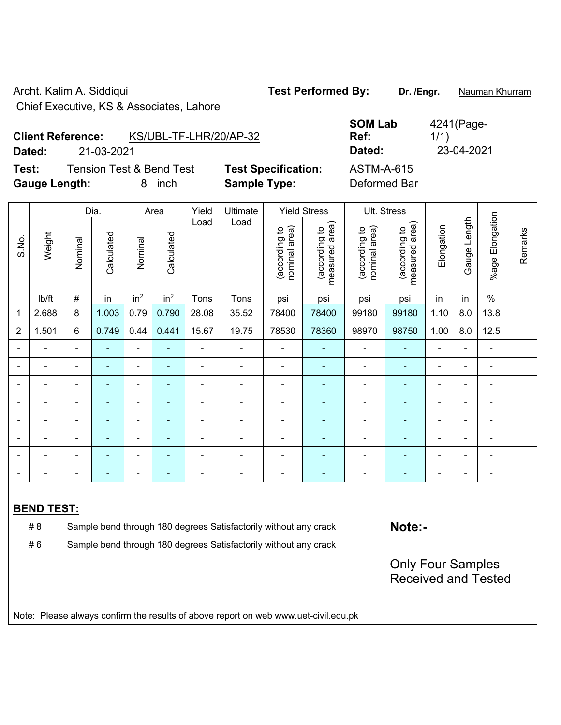Archt. Kalim A. Siddiqui **Test Performed By:** Dr. /Engr. **Nauman Khurram** Chief Executive, KS & Associates, Lahore

|        | <b>Client Reference:</b><br>KS/UBL-TF-LHR/20/AP-32 |                            | Ref:       |
|--------|----------------------------------------------------|----------------------------|------------|
| Dated: | 21-03-2021                                         |                            | Dated:     |
| Test:  | <b>Tension Test &amp; Bend Test</b>                | <b>Test Specification:</b> | ASTM-A-615 |

**Gauge Length:** 8 inch **Sample Type:** Deformed Bar

**SOM Lab Ref:**  4241(Page-1/1) **Dated:** 21-03-2021 **Dated:** 23-04-2021

|                |                   |                | Dia.                     |                 | Area                     | Yield                    | Ultimate                                                                            |                                | <b>Yield Stress</b>             |                                | Ult. Stress                                            |                          |                |                          |         |
|----------------|-------------------|----------------|--------------------------|-----------------|--------------------------|--------------------------|-------------------------------------------------------------------------------------|--------------------------------|---------------------------------|--------------------------------|--------------------------------------------------------|--------------------------|----------------|--------------------------|---------|
| S.No.          | Weight            | Nominal        | Calculated               | Nominal         | Calculated               | Load                     | Load                                                                                | nominal area)<br>(according to | (according to<br>measured area) | nominal area)<br>(according to | measured area)<br>(according to                        | Elongation               | Gauge Length   | %age Elongation          | Remarks |
|                | Ib/ft             | $\#$           | in                       | in <sup>2</sup> | in <sup>2</sup>          | Tons                     | Tons                                                                                | psi                            | psi                             | psi                            | psi                                                    | in                       | in             | $\%$                     |         |
| 1              | 2.688             | 8              | 1.003                    | 0.79            | 0.790                    | 28.08                    | 35.52                                                                               | 78400                          | 78400                           | 99180                          | 99180                                                  | 1.10                     | 8.0            | 13.8                     |         |
| $\overline{2}$ | 1.501             | 6              | 0.749                    | 0.44            | 0.441                    | 15.67                    | 19.75                                                                               | 78530                          | 78360                           | 98970                          | 98750                                                  | 1.00                     | 8.0            | 12.5                     |         |
|                | $\blacksquare$    | $\blacksquare$ | $\blacksquare$           | ÷,              |                          | $\blacksquare$           | $\blacksquare$                                                                      | ä,                             | ÷                               | $\qquad \qquad \blacksquare$   | $\blacksquare$                                         | $\blacksquare$           | $\blacksquare$ | $\blacksquare$           |         |
|                | ä,                | ä,             | ä,                       | ÷,              | $\blacksquare$           | $\blacksquare$           | $\blacksquare$                                                                      | ä,                             | ä,                              | ÷,                             | $\blacksquare$                                         | $\blacksquare$           | $\blacksquare$ | $\blacksquare$           |         |
|                | $\blacksquare$    | $\blacksquare$ | ÷                        | ÷,              |                          | $\blacksquare$           | Ē,                                                                                  | $\blacksquare$                 | ÷                               | $\qquad \qquad \blacksquare$   | ä,                                                     | $\blacksquare$           |                | $\blacksquare$           |         |
|                |                   |                |                          | $\blacksquare$  |                          |                          |                                                                                     | $\blacksquare$                 | $\blacksquare$                  | $\blacksquare$                 | $\blacksquare$                                         |                          |                |                          |         |
|                |                   |                |                          | ٠               |                          |                          |                                                                                     | $\blacksquare$                 |                                 | ٠                              | ٠                                                      | $\blacksquare$           |                |                          |         |
| $\blacksquare$ | $\blacksquare$    | $\blacksquare$ | $\overline{\phantom{0}}$ | ۰               |                          | $\blacksquare$           | $\overline{\phantom{0}}$                                                            | $\blacksquare$                 | ۰                               | ٠                              | $\blacksquare$                                         | $\blacksquare$           | $\blacksquare$ | $\blacksquare$           |         |
|                | -                 |                | ÷                        | ÷               |                          |                          | Ē,                                                                                  | $\blacksquare$                 | ۰                               | ÷                              | $\blacksquare$                                         | $\blacksquare$           |                | $\blacksquare$           |         |
|                |                   | $\blacksquare$ | ۰                        | ۰               | $\overline{\phantom{0}}$ | $\overline{\phantom{0}}$ | $\blacksquare$                                                                      | $\blacksquare$                 | $\overline{a}$                  | -                              | ۰                                                      | $\overline{\phantom{0}}$ |                | $\overline{\phantom{a}}$ |         |
|                |                   |                |                          |                 |                          |                          |                                                                                     |                                |                                 |                                |                                                        |                          |                |                          |         |
|                | <b>BEND TEST:</b> |                |                          |                 |                          |                          |                                                                                     |                                |                                 |                                |                                                        |                          |                |                          |         |
|                | # 8               |                |                          |                 |                          |                          | Sample bend through 180 degrees Satisfactorily without any crack                    |                                |                                 |                                | Note:-                                                 |                          |                |                          |         |
|                | #6                |                |                          |                 |                          |                          | Sample bend through 180 degrees Satisfactorily without any crack                    |                                |                                 |                                |                                                        |                          |                |                          |         |
|                |                   |                |                          |                 |                          |                          |                                                                                     |                                |                                 |                                | <b>Only Four Samples</b><br><b>Received and Tested</b> |                          |                |                          |         |
|                |                   |                |                          |                 |                          |                          | Note: Please always confirm the results of above report on web www.uet-civil.edu.pk |                                |                                 |                                |                                                        |                          |                |                          |         |